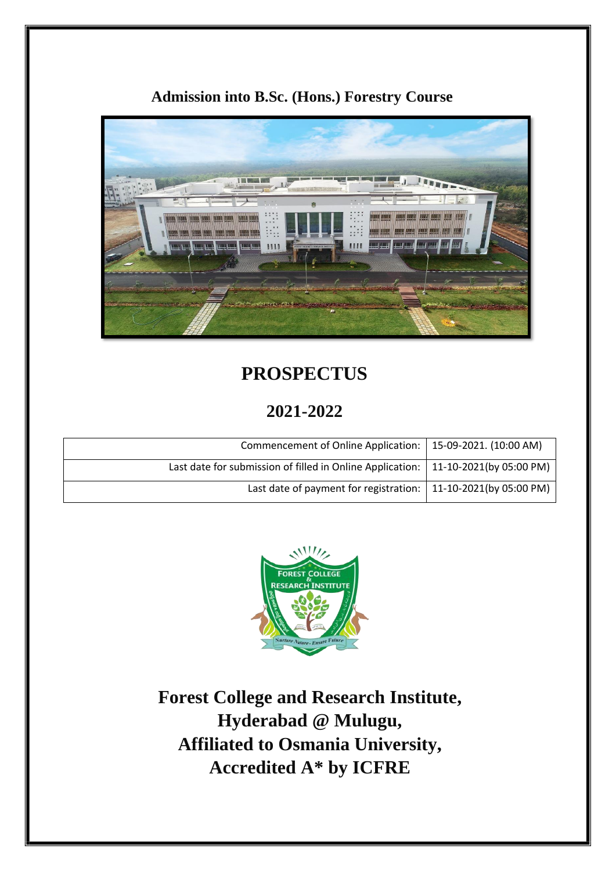### **Admission into B.Sc. (Hons.) Forestry Course**



# **PROSPECTUS**

## **2021-2022**

| Commencement of Online Application:   15-09-2021. (10:00 AM)                        |  |
|-------------------------------------------------------------------------------------|--|
| Last date for submission of filled in Online Application:   11-10-2021(by 05:00 PM) |  |
| Last date of payment for registration: $\vert$ 11-10-2021(by 05:00 PM)              |  |



**Forest College and Research Institute, Hyderabad @ Mulugu, Affiliated to Osmania University, Accredited A\* by ICFRE**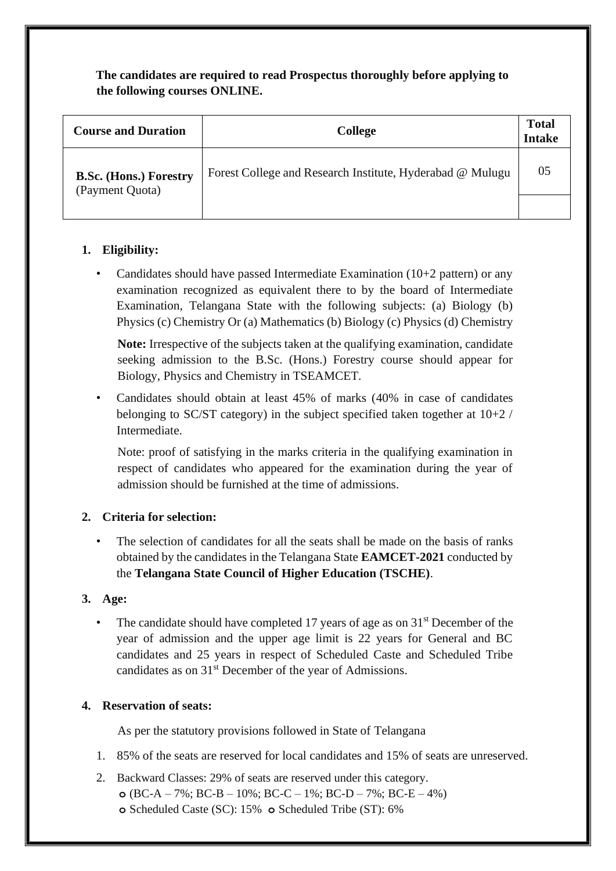**The candidates are required to read Prospectus thoroughly before applying to the following courses ONLINE.** 

| <b>Course and Duration</b>                       | <b>College</b>                                            | <b>Total</b><br><b>Intake</b> |
|--------------------------------------------------|-----------------------------------------------------------|-------------------------------|
| <b>B.Sc. (Hons.) Forestry</b><br>(Payment Quota) | Forest College and Research Institute, Hyderabad @ Mulugu | 05                            |
|                                                  |                                                           |                               |

### **1. Eligibility:**

Candidates should have passed Intermediate Examination  $(10+2$  pattern) or any examination recognized as equivalent there to by the board of Intermediate Examination, Telangana State with the following subjects: (a) Biology (b) Physics (c) Chemistry Or (a) Mathematics (b) Biology (c) Physics (d) Chemistry

**Note:** Irrespective of the subjects taken at the qualifying examination, candidate seeking admission to the B.Sc. (Hons.) Forestry course should appear for Biology, Physics and Chemistry in TSEAMCET.

• Candidates should obtain at least 45% of marks (40% in case of candidates belonging to SC/ST category) in the subject specified taken together at  $10+2$  / Intermediate.

Note: proof of satisfying in the marks criteria in the qualifying examination in respect of candidates who appeared for the examination during the year of admission should be furnished at the time of admissions.

### **2. Criteria for selection:**

• The selection of candidates for all the seats shall be made on the basis of ranks obtained by the candidates in the Telangana State **EAMCET-2021** conducted by the **Telangana State Council of Higher Education (TSCHE)**.

#### **3. Age:**

The candidate should have completed 17 years of age as on  $31<sup>st</sup>$  December of the year of admission and the upper age limit is 22 years for General and BC candidates and 25 years in respect of Scheduled Caste and Scheduled Tribe candidates as on 31<sup>st</sup> December of the year of Admissions.

#### **4. Reservation of seats:**

As per the statutory provisions followed in State of Telangana

- 1. 85% of the seats are reserved for local candidates and 15% of seats are unreserved.
- 2. Backward Classes: 29% of seats are reserved under this category. **o** (BC-A – 7%; BC-B – 10%; BC-C – 1%; BC-D – 7%; BC-E – 4%) **o** Scheduled Caste (SC): 15% **o** Scheduled Tribe (ST): 6%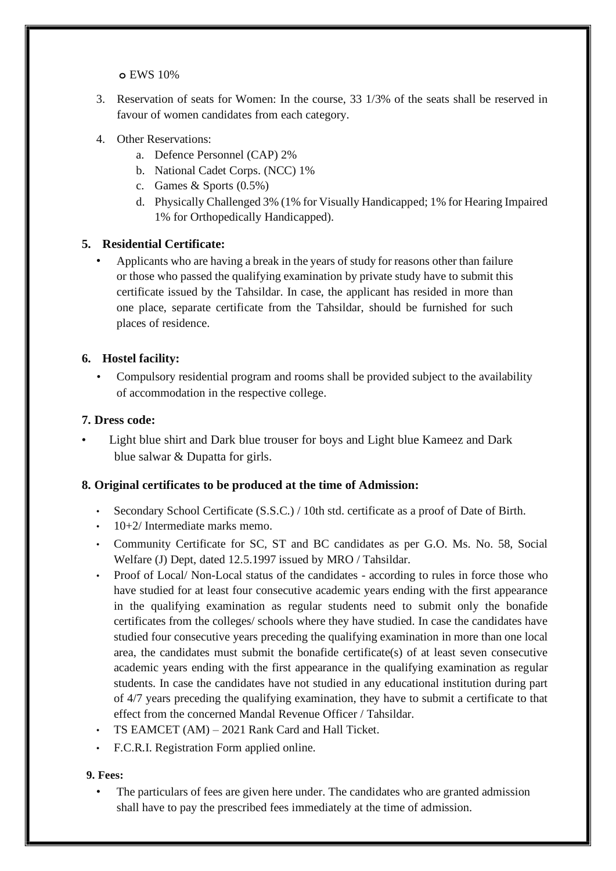**o** EWS 10%

- 3. Reservation of seats for Women: In the course, 33 1/3% of the seats shall be reserved in favour of women candidates from each category.
- 4. Other Reservations:
	- a. Defence Personnel (CAP) 2%
	- b. National Cadet Corps. (NCC) 1%
	- c. Games & Sports (0.5%)
	- d. Physically Challenged 3% (1% for Visually Handicapped; 1% for Hearing Impaired 1% for Orthopedically Handicapped).

#### **5. Residential Certificate:**

• Applicants who are having a break in the years of study for reasons other than failure or those who passed the qualifying examination by private study have to submit this certificate issued by the Tahsildar. In case, the applicant has resided in more than one place, separate certificate from the Tahsildar, should be furnished for such places of residence.

#### **6. Hostel facility:**

• Compulsory residential program and rooms shall be provided subject to the availability of accommodation in the respective college.

#### **7. Dress code:**

• Light blue shirt and Dark blue trouser for boys and Light blue Kameez and Dark blue salwar & Dupatta for girls.

#### **8. Original certificates to be produced at the time of Admission:**

- Secondary School Certificate (S.S.C.) / 10th std. certificate as a proof of Date of Birth.
- 10+2/ Intermediate marks memo.
- Community Certificate for SC, ST and BC candidates as per G.O. Ms. No. 58, Social Welfare (J) Dept, dated 12.5.1997 issued by MRO / Tahsildar.
- Proof of Local/ Non-Local status of the candidates according to rules in force those who have studied for at least four consecutive academic years ending with the first appearance in the qualifying examination as regular students need to submit only the bonafide certificates from the colleges/ schools where they have studied. In case the candidates have studied four consecutive years preceding the qualifying examination in more than one local area, the candidates must submit the bonafide certificate(s) of at least seven consecutive academic years ending with the first appearance in the qualifying examination as regular students. In case the candidates have not studied in any educational institution during part of 4/7 years preceding the qualifying examination, they have to submit a certificate to that effect from the concerned Mandal Revenue Officer / Tahsildar.
- TS EAMCET (AM) 2021 Rank Card and Hall Ticket.
- F.C.R.I. Registration Form applied online.

#### **9. Fees:**

The particulars of fees are given here under. The candidates who are granted admission shall have to pay the prescribed fees immediately at the time of admission.